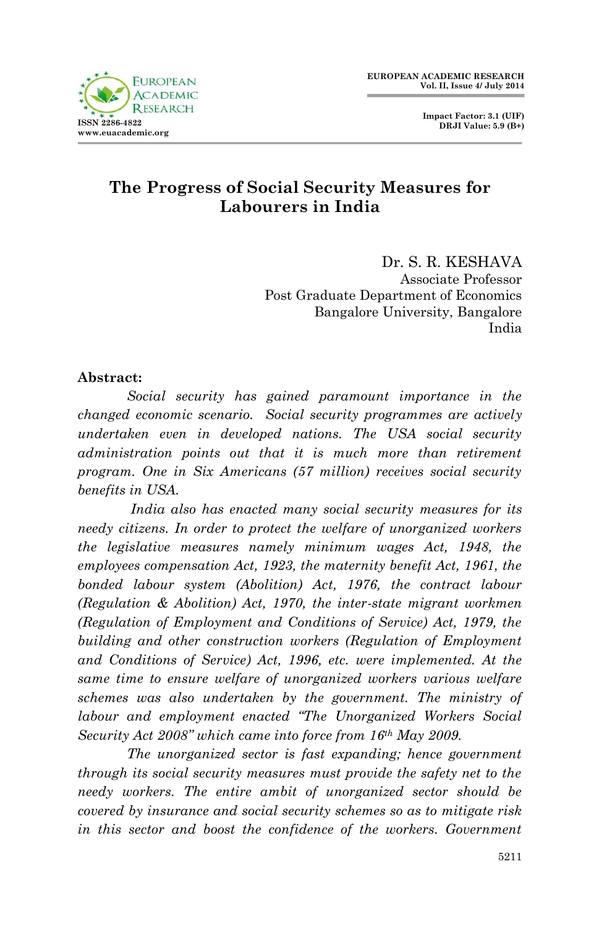

# **The Progress of Social Security Measures for Labourers in India**

Dr. S. R. KESHAVA Associate Professor Post Graduate Department of Economics Bangalore University, Bangalore India

#### **Abstract:**

*Social security has gained paramount importance in the changed economic scenario. Social security programmes are actively undertaken even in developed nations. The USA social security administration points out that it is much more than retirement program. One in Six Americans (57 million) receives social security benefits in USA.*

*India also has enacted many social security measures for its needy citizens. In order to protect the welfare of unorganized workers the legislative measures namely minimum wages Act, 1948, the employees compensation Act, 1923, the maternity benefit Act, 1961, the bonded labour system (Abolition) Act, 1976, the contract labour (Regulation & Abolition) Act, 1970, the inter-state migrant workmen (Regulation of Employment and Conditions of Service) Act, 1979, the building and other construction workers (Regulation of Employment and Conditions of Service) Act, 1996, etc. were implemented. At the same time to ensure welfare of unorganized workers various welfare schemes was also undertaken by the government. The ministry of labour and employment enacted "The Unorganized Workers Social Security Act 2008" which came into force from 16th May 2009.* 

*The unorganized sector is fast expanding; hence government through its social security measures must provide the safety net to the needy workers. The entire ambit of unorganized sector should be covered by insurance and social security schemes so as to mitigate risk in this sector and boost the confidence of the workers. Government*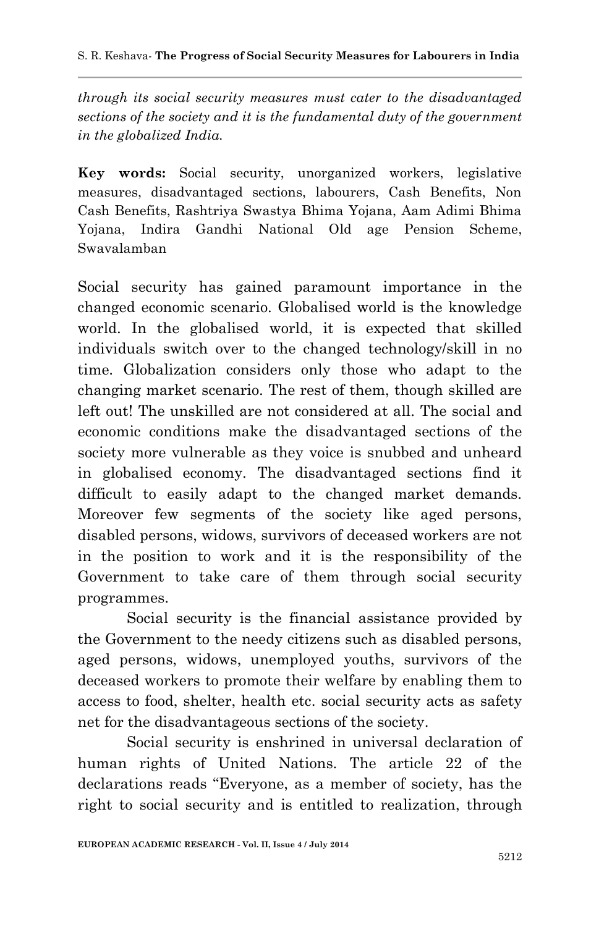*through its social security measures must cater to the disadvantaged sections of the society and it is the fundamental duty of the government in the globalized India.* 

**Key words:** Social security, unorganized workers, legislative measures, disadvantaged sections, labourers, Cash Benefits, Non Cash Benefits, Rashtriya Swastya Bhima Yojana, Aam Adimi Bhima Yojana, Indira Gandhi National Old age Pension Scheme, Swavalamban

Social security has gained paramount importance in the changed economic scenario. Globalised world is the knowledge world. In the globalised world, it is expected that skilled individuals switch over to the changed technology/skill in no time. Globalization considers only those who adapt to the changing market scenario. The rest of them, though skilled are left out! The unskilled are not considered at all. The social and economic conditions make the disadvantaged sections of the society more vulnerable as they voice is snubbed and unheard in globalised economy. The disadvantaged sections find it difficult to easily adapt to the changed market demands. Moreover few segments of the society like aged persons, disabled persons, widows, survivors of deceased workers are not in the position to work and it is the responsibility of the Government to take care of them through social security programmes.

Social security is the financial assistance provided by the Government to the needy citizens such as disabled persons, aged persons, widows, unemployed youths, survivors of the deceased workers to promote their welfare by enabling them to access to food, shelter, health etc. social security acts as safety net for the disadvantageous sections of the society.

Social security is enshrined in universal declaration of human rights of United Nations. The article 22 of the declarations reads "Everyone, as a member of society, has the right to social security and is entitled to realization, through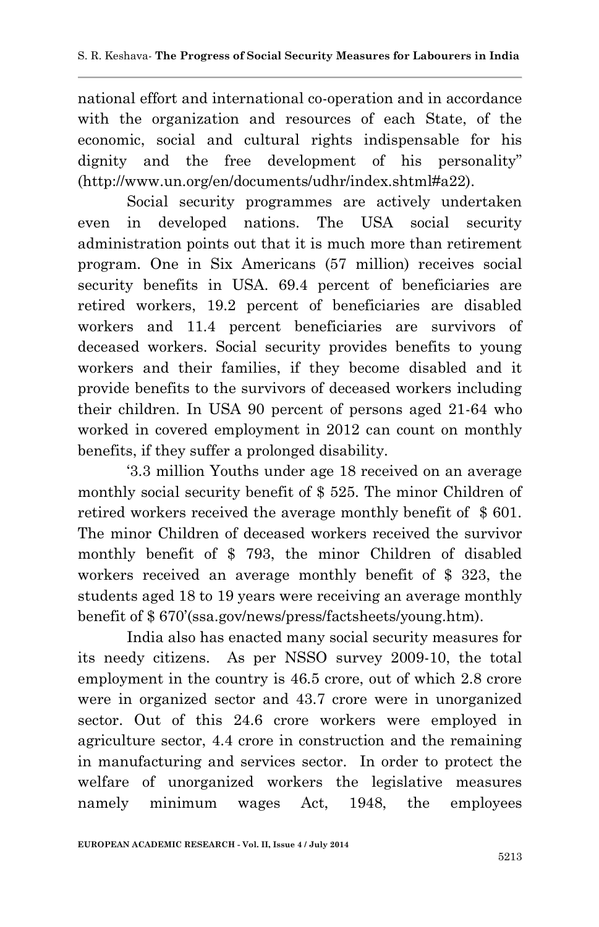national effort and international co-operation and in accordance with the organization and resources of each State, of the economic, social and cultural rights indispensable for his dignity and the free development of his personality" (http://www.un.org/en/documents/udhr/index.shtml#a22).

Social security programmes are actively undertaken even in developed nations. The USA social security administration points out that it is much more than retirement program. One in Six Americans (57 million) receives social security benefits in USA. 69.4 percent of beneficiaries are retired workers, 19.2 percent of beneficiaries are disabled workers and 11.4 percent beneficiaries are survivors of deceased workers. Social security provides benefits to young workers and their families, if they become disabled and it provide benefits to the survivors of deceased workers including their children. In USA 90 percent of persons aged 21-64 who worked in covered employment in 2012 can count on monthly benefits, if they suffer a prolonged disability.

'3.3 million Youths under age 18 received on an average monthly social security benefit of \$ 525. The minor Children of retired workers received the average monthly benefit of \$ 601. The minor Children of deceased workers received the survivor monthly benefit of \$ 793, the minor Children of disabled workers received an average monthly benefit of \$ 323, the students aged 18 to 19 years were receiving an average monthly benefit of \$ 670'(ssa.gov/news/press/factsheets/young.htm).

India also has enacted many social security measures for its needy citizens. As per NSSO survey 2009-10, the total employment in the country is 46.5 crore, out of which 2.8 crore were in organized sector and 43.7 crore were in unorganized sector. Out of this 24.6 crore workers were employed in agriculture sector, 4.4 crore in construction and the remaining in manufacturing and services sector. In order to protect the welfare of unorganized workers the legislative measures namely minimum wages Act, 1948, the employees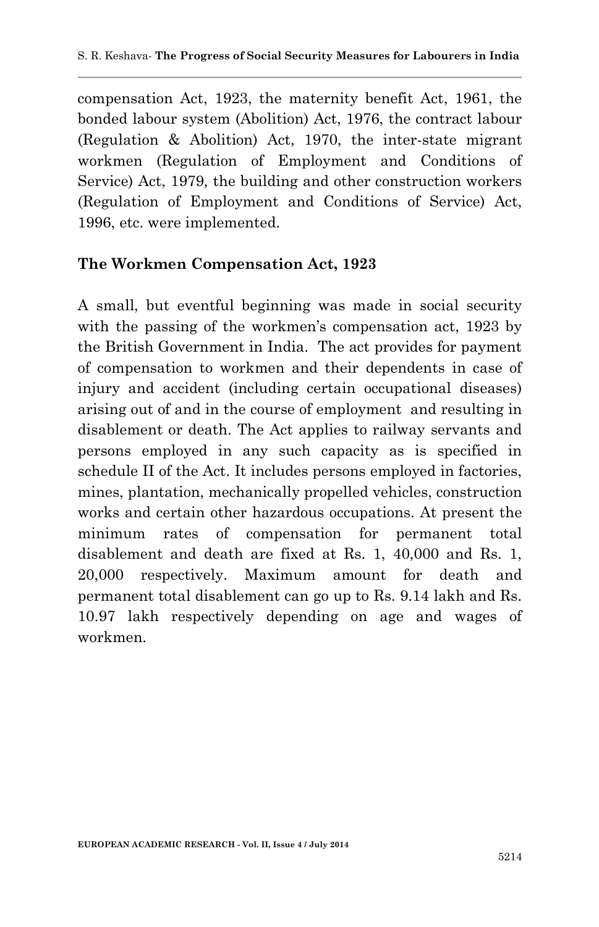compensation Act, 1923, the maternity benefit Act, 1961, the bonded labour system (Abolition) Act, 1976, the contract labour (Regulation & Abolition) Act, 1970, the inter-state migrant workmen (Regulation of Employment and Conditions of Service) Act, 1979, the building and other construction workers (Regulation of Employment and Conditions of Service) Act, 1996, etc. were implemented.

#### **The Workmen Compensation Act, 1923**

A small, but eventful beginning was made in social security with the passing of the workmen's compensation act, 1923 by the British Government in India. The act provides for payment of compensation to workmen and their dependents in case of injury and accident (including certain occupational diseases) arising out of and in the course of employment and resulting in disablement or death. The Act applies to railway servants and persons employed in any such capacity as is specified in schedule II of the Act. It includes persons employed in factories, mines, plantation, mechanically propelled vehicles, construction works and certain other hazardous occupations. At present the minimum rates of compensation for permanent total disablement and death are fixed at Rs. 1, 40,000 and Rs. 1, 20,000 respectively. Maximum amount for death and permanent total disablement can go up to Rs. 9.14 lakh and Rs. 10.97 lakh respectively depending on age and wages of workmen.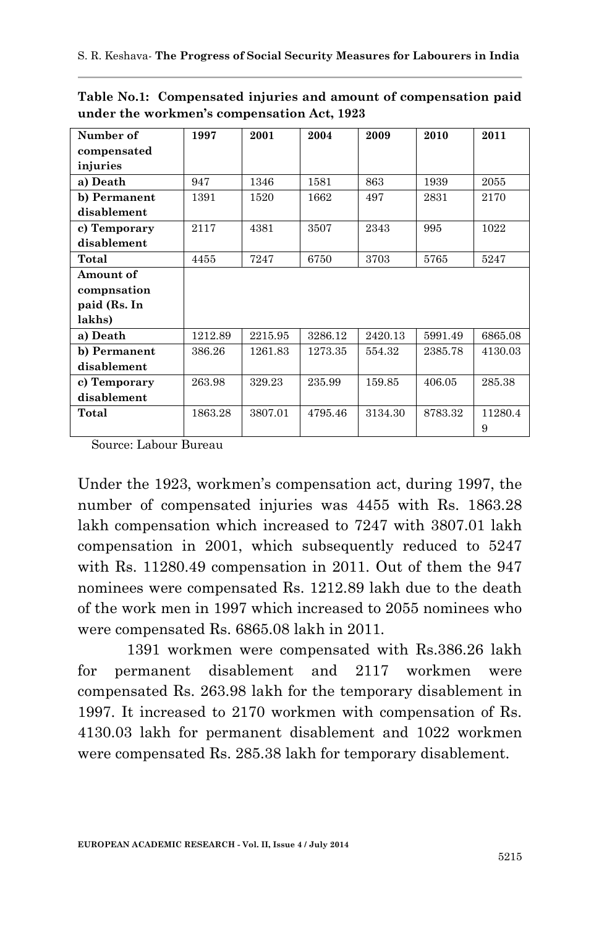| Number of    | 1997    | 2001    | 2004    | 2009    | 2010    | 2011    |
|--------------|---------|---------|---------|---------|---------|---------|
| compensated  |         |         |         |         |         |         |
| injuries     |         |         |         |         |         |         |
| a) Death     | 947     | 1346    | 1581    | 863     | 1939    | 2055    |
| b) Permanent | 1391    | 1520    | 1662    | 497     | 2831    | 2170    |
| disablement  |         |         |         |         |         |         |
| c) Temporary | 2117    | 4381    | 3507    | 2343    | 995     | 1022    |
| disablement  |         |         |         |         |         |         |
| Total        | 4455    | 7247    | 6750    | 3703    | 5765    | 5247    |
| Amount of    |         |         |         |         |         |         |
| compnsation  |         |         |         |         |         |         |
| paid (Rs. In |         |         |         |         |         |         |
| lakhs)       |         |         |         |         |         |         |
| a) Death     | 1212.89 | 2215.95 | 3286.12 | 2420.13 | 5991.49 | 6865.08 |
| b) Permanent | 386.26  | 1261.83 | 1273.35 | 554.32  | 2385.78 | 4130.03 |
| disablement  |         |         |         |         |         |         |
| c) Temporary | 263.98  | 329.23  | 235.99  | 159.85  | 406.05  | 285.38  |
| disablement  |         |         |         |         |         |         |
| Total        | 1863.28 | 3807.01 | 4795.46 | 3134.30 | 8783.32 | 11280.4 |
|              |         |         |         |         |         | 9       |

**Table No.1: Compensated injuries and amount of compensation paid under the workmen's compensation Act, 1923**

Source: Labour Bureau

Under the 1923, workmen's compensation act, during 1997, the number of compensated injuries was 4455 with Rs. 1863.28 lakh compensation which increased to 7247 with 3807.01 lakh compensation in 2001, which subsequently reduced to 5247 with Rs. 11280.49 compensation in 2011. Out of them the 947 nominees were compensated Rs. 1212.89 lakh due to the death of the work men in 1997 which increased to 2055 nominees who were compensated Rs. 6865.08 lakh in 2011.

1391 workmen were compensated with Rs.386.26 lakh for permanent disablement and 2117 workmen were compensated Rs. 263.98 lakh for the temporary disablement in 1997. It increased to 2170 workmen with compensation of Rs. 4130.03 lakh for permanent disablement and 1022 workmen were compensated Rs. 285.38 lakh for temporary disablement.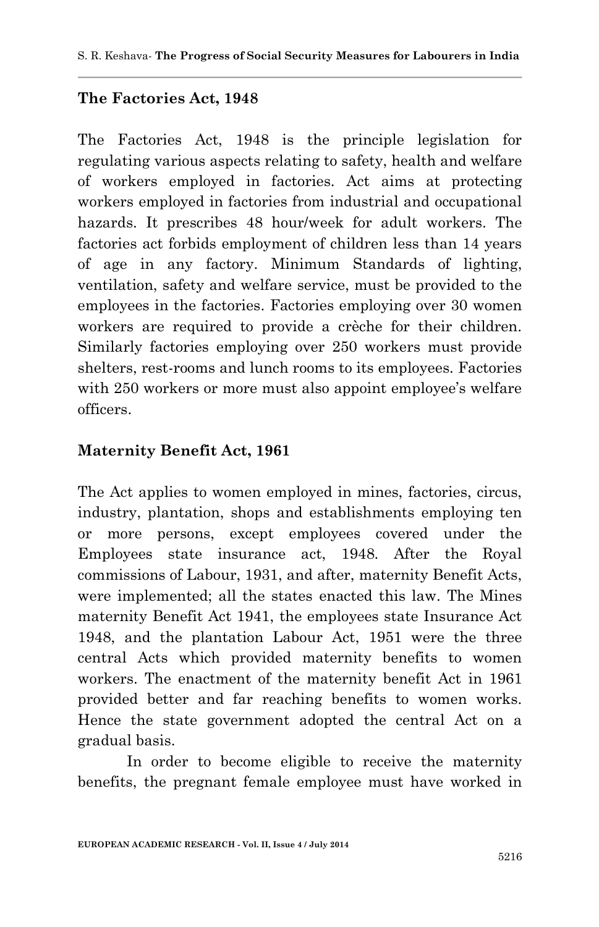# **The Factories Act, 1948**

The Factories Act, 1948 is the principle legislation for regulating various aspects relating to safety, health and welfare of workers employed in factories. Act aims at protecting workers employed in factories from industrial and occupational hazards. It prescribes 48 hour/week for adult workers. The factories act forbids employment of children less than 14 years of age in any factory. Minimum Standards of lighting, ventilation, safety and welfare service, must be provided to the employees in the factories. Factories employing over 30 women workers are required to provide a crèche for their children. Similarly factories employing over 250 workers must provide shelters, rest-rooms and lunch rooms to its employees. Factories with 250 workers or more must also appoint employee's welfare officers.

#### **Maternity Benefit Act, 1961**

The Act applies to women employed in mines, factories, circus, industry, plantation, shops and establishments employing ten or more persons, except employees covered under the Employees state insurance act, 1948. After the Royal commissions of Labour, 1931, and after, maternity Benefit Acts, were implemented; all the states enacted this law. The Mines maternity Benefit Act 1941, the employees state Insurance Act 1948, and the plantation Labour Act, 1951 were the three central Acts which provided maternity benefits to women workers. The enactment of the maternity benefit Act in 1961 provided better and far reaching benefits to women works. Hence the state government adopted the central Act on a gradual basis.

In order to become eligible to receive the maternity benefits, the pregnant female employee must have worked in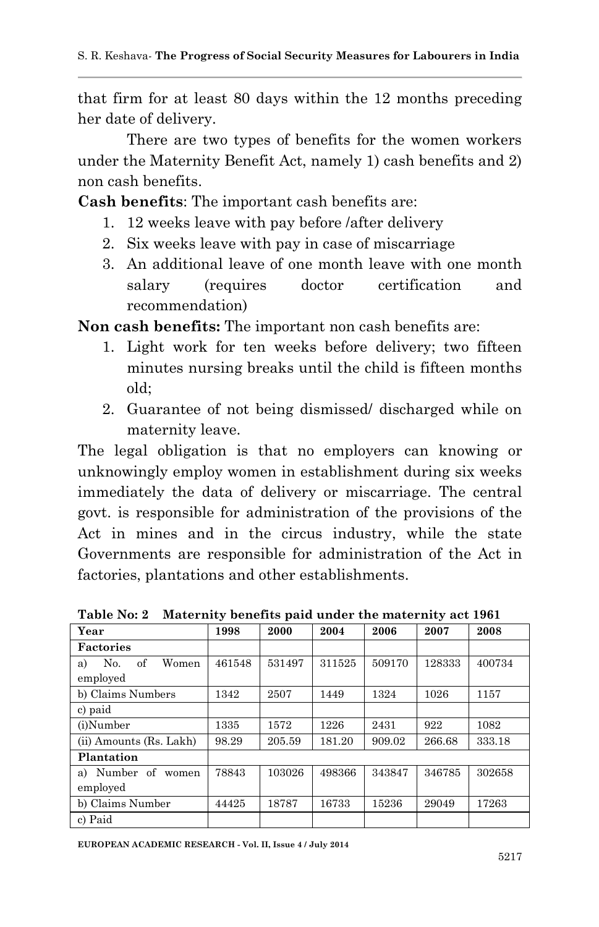that firm for at least 80 days within the 12 months preceding her date of delivery.

There are two types of benefits for the women workers under the Maternity Benefit Act, namely 1) cash benefits and 2) non cash benefits.

**Cash benefits**: The important cash benefits are:

- 1. 12 weeks leave with pay before /after delivery
- 2. Six weeks leave with pay in case of miscarriage
- 3. An additional leave of one month leave with one month salary (requires doctor certification and recommendation)

**Non cash benefits:** The important non cash benefits are:

- 1. Light work for ten weeks before delivery; two fifteen minutes nursing breaks until the child is fifteen months old;
- 2. Guarantee of not being dismissed/ discharged while on maternity leave.

The legal obligation is that no employers can knowing or unknowingly employ women in establishment during six weeks immediately the data of delivery or miscarriage. The central govt. is responsible for administration of the provisions of the Act in mines and in the circus industry, while the state Governments are responsible for administration of the Act in factories, plantations and other establishments.

| Year                                 | 1998   | 2000   | 2004   | 2006   | 2007   | 2008   |
|--------------------------------------|--------|--------|--------|--------|--------|--------|
| <b>Factories</b>                     |        |        |        |        |        |        |
| of<br>Women<br>No.<br>a)<br>employed | 461548 | 531497 | 311525 | 509170 | 128333 | 400734 |
| b) Claims Numbers                    | 1342   | 2507   | 1449   | 1324   | 1026   | 1157   |
| c) paid                              |        |        |        |        |        |        |
| (i)Number                            | 1335   | 1572   | 1226   | 2431   | 922    | 1082   |
| (ii) Amounts (Rs. Lakh)              | 98.29  | 205.59 | 181.20 | 909.02 | 266.68 | 333.18 |
| Plantation                           |        |        |        |        |        |        |
| Number of<br>a)<br>women<br>employed | 78843  | 103026 | 498366 | 343847 | 346785 | 302658 |
| b) Claims Number                     | 44425  | 18787  | 16733  | 15236  | 29049  | 17263  |
| c) Paid                              |        |        |        |        |        |        |

**Table No: 2 Maternity benefits paid under the maternity act 1961**

**EUROPEAN ACADEMIC RESEARCH - Vol. II, Issue 4 / July 2014**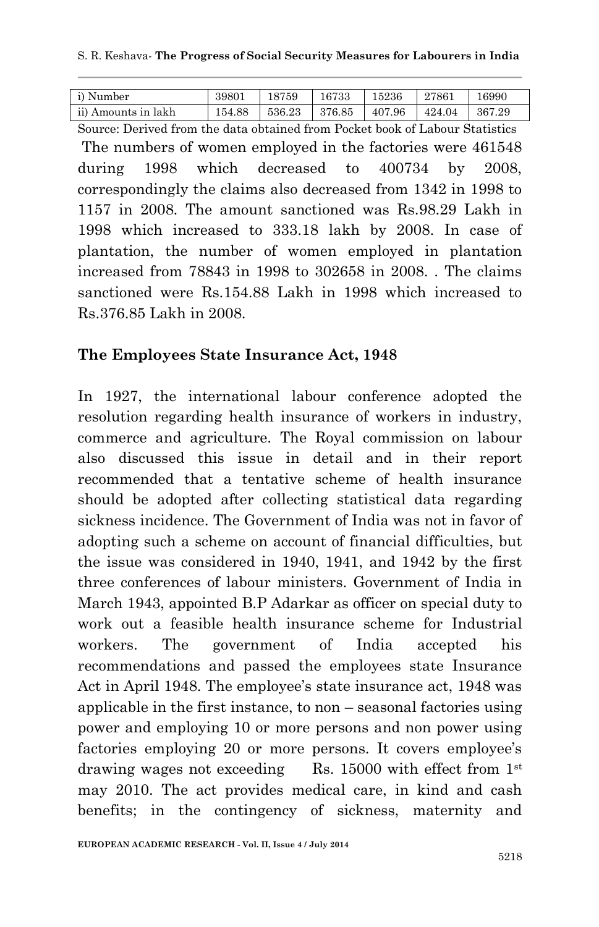| i) Number           | 39801  | 18759  | 16733  | 15236  | 27861  | 16990  |
|---------------------|--------|--------|--------|--------|--------|--------|
| ii) Amounts in lakh | 154.88 | 536.23 | 376.85 | 407.96 | 424.04 | 367.29 |

Source: Derived from the data obtained from Pocket book of Labour Statistics The numbers of women employed in the factories were 461548 during 1998 which decreased to 400734 by 2008, correspondingly the claims also decreased from 1342 in 1998 to 1157 in 2008. The amount sanctioned was Rs.98.29 Lakh in 1998 which increased to 333.18 lakh by 2008. In case of plantation, the number of women employed in plantation increased from 78843 in 1998 to 302658 in 2008. . The claims sanctioned were Rs.154.88 Lakh in 1998 which increased to Rs.376.85 Lakh in 2008.

### **The Employees State Insurance Act, 1948**

In 1927, the international labour conference adopted the resolution regarding health insurance of workers in industry, commerce and agriculture. The Royal commission on labour also discussed this issue in detail and in their report recommended that a tentative scheme of health insurance should be adopted after collecting statistical data regarding sickness incidence. The Government of India was not in favor of adopting such a scheme on account of financial difficulties, but the issue was considered in 1940, 1941, and 1942 by the first three conferences of labour ministers. Government of India in March 1943, appointed B.P Adarkar as officer on special duty to work out a feasible health insurance scheme for Industrial workers. The government of India accepted his recommendations and passed the employees state Insurance Act in April 1948. The employee's state insurance act, 1948 was applicable in the first instance, to non – seasonal factories using power and employing 10 or more persons and non power using factories employing 20 or more persons. It covers employee's drawing wages not exceeding Rs. 15000 with effect from  $1<sup>st</sup>$ may 2010. The act provides medical care, in kind and cash benefits; in the contingency of sickness, maternity and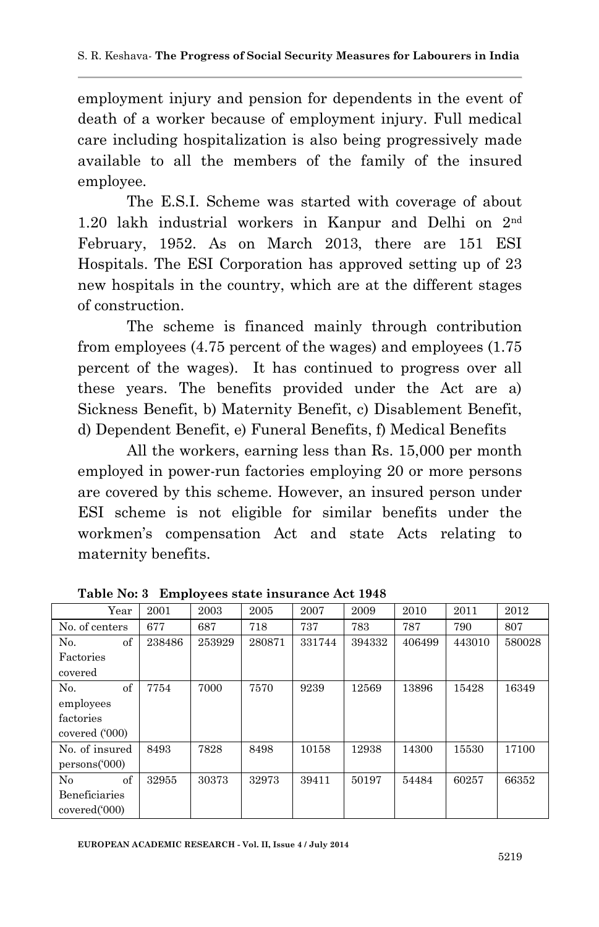employment injury and pension for dependents in the event of death of a worker because of employment injury. Full medical care including hospitalization is also being progressively made available to all the members of the family of the insured employee.

 The E.S.I. Scheme was started with coverage of about 1.20 lakh industrial workers in Kanpur and Delhi on 2nd February, 1952. As on March 2013, there are 151 ESI Hospitals. The ESI Corporation has approved setting up of 23 new hospitals in the country, which are at the different stages of construction.

The scheme is financed mainly through contribution from employees (4.75 percent of the wages) and employees (1.75 percent of the wages). It has continued to progress over all these years. The benefits provided under the Act are a) Sickness Benefit, b) Maternity Benefit, c) Disablement Benefit, d) Dependent Benefit, e) Funeral Benefits, f) Medical Benefits

All the workers, earning less than Rs. 15,000 per month employed in power-run factories employing 20 or more persons are covered by this scheme. However, an insured person under ESI scheme is not eligible for similar benefits under the workmen's compensation Act and state Acts relating to maternity benefits.

| Year           | 2001   | 2003   | 2005   | 2007   | 2009   | 2010   | 2011   | 2012   |
|----------------|--------|--------|--------|--------|--------|--------|--------|--------|
| No. of centers | 677    | 687    | 718    | 737    | 783    | 787    | 790    | 807    |
| of<br>No.      | 238486 | 253929 | 280871 | 331744 | 394332 | 406499 | 443010 | 580028 |
| Factories      |        |        |        |        |        |        |        |        |
| covered        |        |        |        |        |        |        |        |        |
| of<br>No.      | 7754   | 7000   | 7570   | 9239   | 12569  | 13896  | 15428  | 16349  |
| employees      |        |        |        |        |        |        |        |        |
| factories      |        |        |        |        |        |        |        |        |
| covered ('000) |        |        |        |        |        |        |        |        |
| No. of insured | 8493   | 7828   | 8498   | 10158  | 12938  | 14300  | 15530  | 17100  |
| persons(000)   |        |        |        |        |        |        |        |        |
| No<br>of       | 32955  | 30373  | 32973  | 39411  | 50197  | 54484  | 60257  | 66352  |
| Beneficiaries  |        |        |        |        |        |        |        |        |
| covered('000)  |        |        |        |        |        |        |        |        |

**Table No: 3 Employees state insurance Act 1948**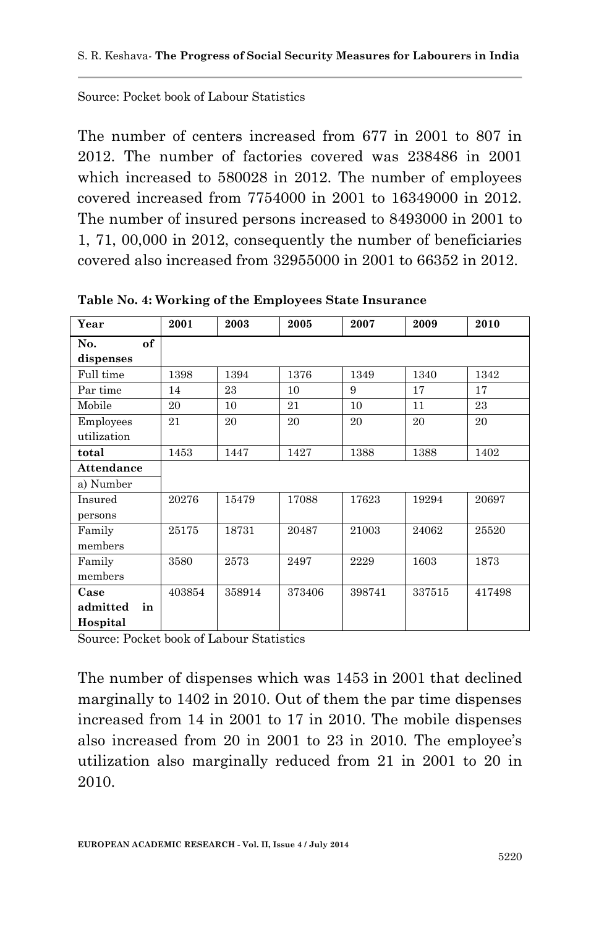Source: Pocket book of Labour Statistics

The number of centers increased from 677 in 2001 to 807 in 2012. The number of factories covered was 238486 in 2001 which increased to 580028 in 2012. The number of employees covered increased from 7754000 in 2001 to 16349000 in 2012. The number of insured persons increased to 8493000 in 2001 to 1, 71, 00,000 in 2012, consequently the number of beneficiaries covered also increased from 32955000 in 2001 to 66352 in 2012.

| Year                               | 2001   | 2003   | 2005   | 2007   | 2009   | 2010   |
|------------------------------------|--------|--------|--------|--------|--------|--------|
| of<br>No.<br>dispenses             |        |        |        |        |        |        |
| Full time                          | 1398   | 1394   | 1376   | 1349   | 1340   | 1342   |
| Par time                           | 14     | 23     | 10     | 9      | 17     | 17     |
| Mobile                             | 20     | 10     | 21     | 10     | 11     | 23     |
| Employees<br>utilization           | 21     | 20     | 20     | 20     | 20     | 20     |
| total                              | 1453   | 1447   | 1427   | 1388   | 1388   | 1402   |
| <b>Attendance</b>                  |        |        |        |        |        |        |
| a) Number                          |        |        |        |        |        |        |
| Insured<br>persons                 | 20276  | 15479  | 17088  | 17623  | 19294  | 20697  |
| Family<br>members                  | 25175  | 18731  | 20487  | 21003  | 24062  | 25520  |
| Family<br>members                  | 3580   | 2573   | 2497   | 2229   | 1603   | 1873   |
| Case<br>admitted<br>in<br>Hospital | 403854 | 358914 | 373406 | 398741 | 337515 | 417498 |

**Table No. 4: Working of the Employees State Insurance**

Source: Pocket book of Labour Statistics

The number of dispenses which was 1453 in 2001 that declined marginally to 1402 in 2010. Out of them the par time dispenses increased from 14 in 2001 to 17 in 2010. The mobile dispenses also increased from 20 in 2001 to 23 in 2010. The employee's utilization also marginally reduced from 21 in 2001 to 20 in 2010.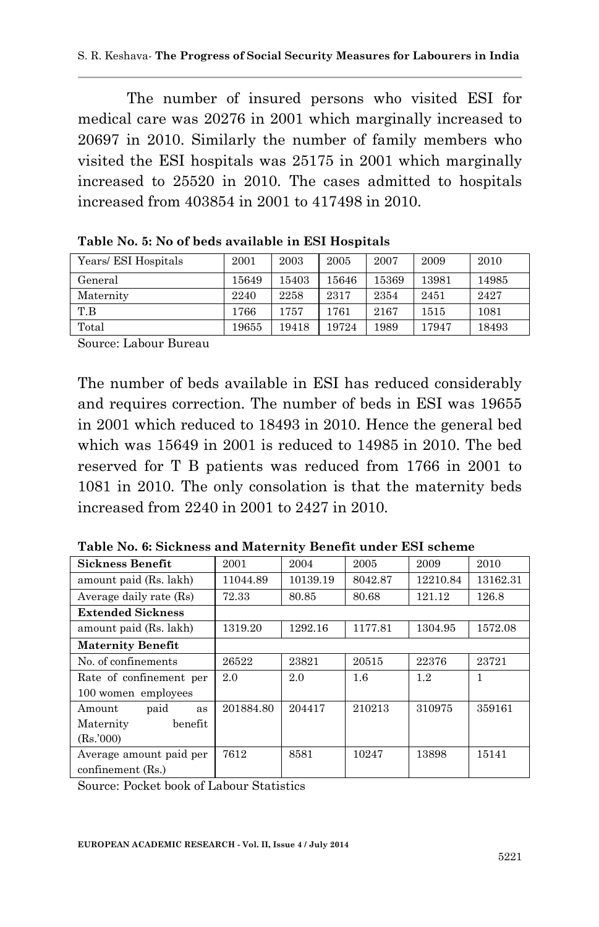The number of insured persons who visited ESI for medical care was 20276 in 2001 which marginally increased to 20697 in 2010. Similarly the number of family members who visited the ESI hospitals was 25175 in 2001 which marginally increased to 25520 in 2010. The cases admitted to hospitals increased from 403854 in 2001 to 417498 in 2010.

| Years/ ESI Hospitals | 2001  | 2003  | 2005  | 2007  | 2009  | 2010  |
|----------------------|-------|-------|-------|-------|-------|-------|
| General              | 15649 | 15403 | 15646 | 15369 | 13981 | 14985 |
| Maternity            | 2240  | 2258  | 2317  | 2354  | 2451  | 2427  |
| T.B                  | 1766  | 1757  | 1761  | 2167  | 1515  | 1081  |
| Total                | 19655 | 19418 | 19724 | 1989  | 17947 | 18493 |

**Table No. 5: No of beds available in ESI Hospitals**

Source: Labour Bureau

The number of beds available in ESI has reduced considerably and requires correction. The number of beds in ESI was 19655 in 2001 which reduced to 18493 in 2010. Hence the general bed which was 15649 in 2001 is reduced to 14985 in 2010. The bed reserved for T B patients was reduced from 1766 in 2001 to 1081 in 2010. The only consolation is that the maternity beds increased from 2240 in 2001 to 2427 in 2010.

| Sickness Benefit         | 2001      | 2004     | 2005    | 2009     | 2010     |
|--------------------------|-----------|----------|---------|----------|----------|
| amount paid (Rs. lakh)   | 11044.89  | 10139.19 | 8042.87 | 12210.84 | 13162.31 |
| Average daily rate (Rs)  | 72.33     | 80.85    | 80.68   | 121.12   | 126.8    |
| <b>Extended Sickness</b> |           |          |         |          |          |
| amount paid (Rs. lakh)   | 1319.20   | 1292.16  | 1177.81 | 1304.95  | 1572.08  |
| <b>Maternity Benefit</b> |           |          |         |          |          |
| No. of confinements      | 26522     | 23821    | 20515   | 22376    | 23721    |
| Rate of confinement per  | 2.0       | 2.0      | $1.6\,$ | 1.2      | 1        |
| 100 women employees      |           |          |         |          |          |
| paid<br>Amount<br>as     | 201884.80 | 204417   | 210213  | 310975   | 359161   |
| benefit<br>Maternity     |           |          |         |          |          |
| (Rs.000)                 |           |          |         |          |          |
| Average amount paid per  | 7612      | 8581     | 10247   | 13898    | 15141    |
| confinement (Rs.)        |           |          |         |          |          |

**Table No. 6: Sickness and Maternity Benefit under ESI scheme**

Source: Pocket book of Labour Statistics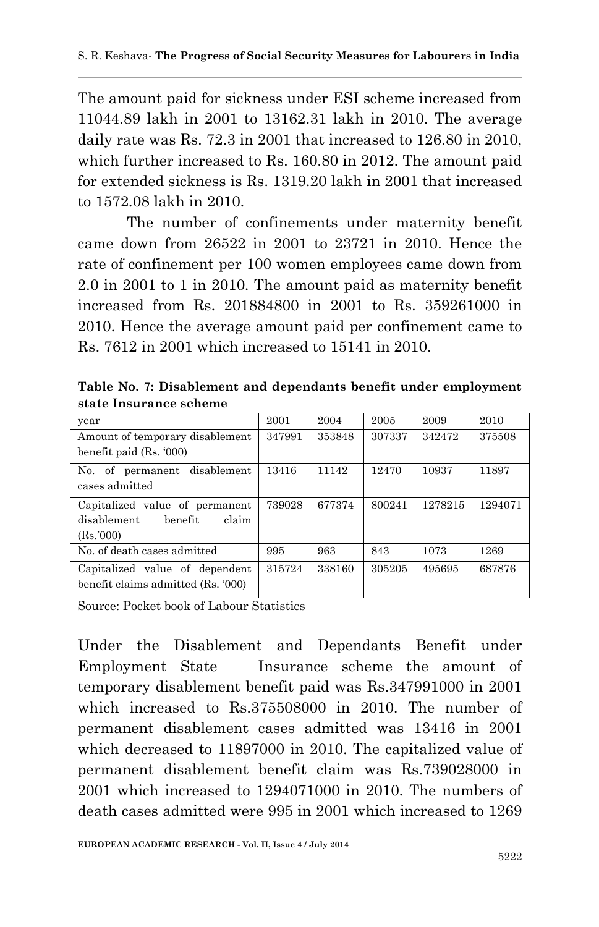The amount paid for sickness under ESI scheme increased from 11044.89 lakh in 2001 to 13162.31 lakh in 2010. The average daily rate was Rs. 72.3 in 2001 that increased to 126.80 in 2010, which further increased to Rs. 160.80 in 2012. The amount paid for extended sickness is Rs. 1319.20 lakh in 2001 that increased to 1572.08 lakh in 2010.

The number of confinements under maternity benefit came down from 26522 in 2001 to 23721 in 2010. Hence the rate of confinement per 100 women employees came down from 2.0 in 2001 to 1 in 2010. The amount paid as maternity benefit increased from Rs. 201884800 in 2001 to Rs. 359261000 in 2010. Hence the average amount paid per confinement came to Rs. 7612 in 2001 which increased to 15141 in 2010.

**Table No. 7: Disablement and dependants benefit under employment state Insurance scheme**

| year                               | 2001   | 2004   | 2005   | 2009    | 2010    |
|------------------------------------|--------|--------|--------|---------|---------|
| Amount of temporary disablement    | 347991 | 353848 | 307337 | 342472  | 375508  |
| benefit paid $(Rs. 000)$           |        |        |        |         |         |
| permanent disablement<br>No.<br>of | 13416  | 11142  | 12470  | 10937   | 11897   |
| cases admitted                     |        |        |        |         |         |
| Capitalized value of permanent     | 739028 | 677374 | 800241 | 1278215 | 1294071 |
| disablement<br>claim<br>benefit    |        |        |        |         |         |
| (Rs.000)                           |        |        |        |         |         |
| No. of death cases admitted        | 995    | 963    | 843    | 1073    | 1269    |
| Capitalized value of dependent     | 315724 | 338160 | 305205 | 495695  | 687876  |
| benefit claims admitted (Rs. '000) |        |        |        |         |         |
|                                    |        |        |        |         |         |

Source: Pocket book of Labour Statistics

Under the Disablement and Dependants Benefit under Employment State Insurance scheme the amount of temporary disablement benefit paid was Rs.347991000 in 2001 which increased to Rs.375508000 in 2010. The number of permanent disablement cases admitted was 13416 in 2001 which decreased to 11897000 in 2010. The capitalized value of permanent disablement benefit claim was Rs.739028000 in 2001 which increased to 1294071000 in 2010. The numbers of death cases admitted were 995 in 2001 which increased to 1269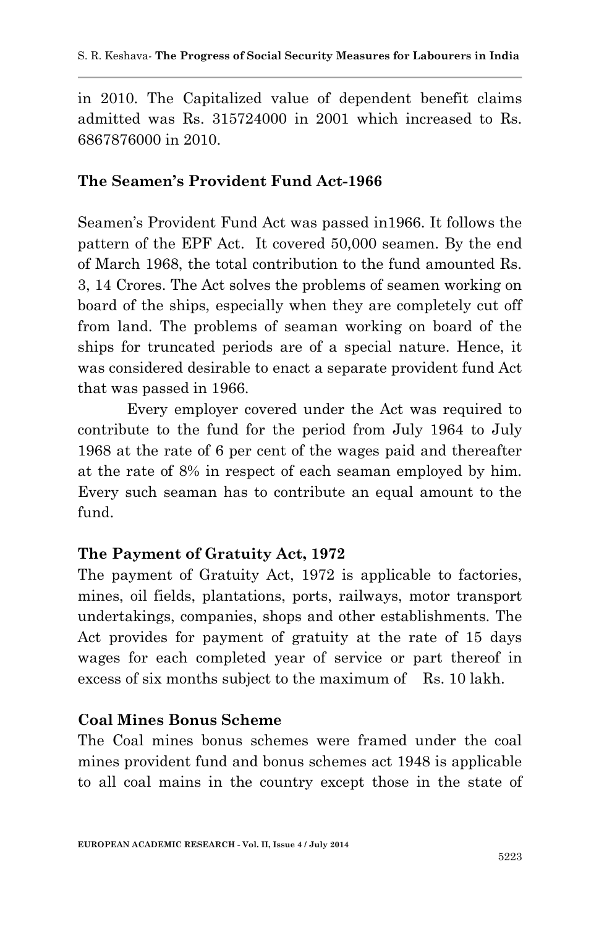in 2010. The Capitalized value of dependent benefit claims admitted was Rs. 315724000 in 2001 which increased to Rs. 6867876000 in 2010.

### **The Seamen's Provident Fund Act-1966**

Seamen's Provident Fund Act was passed in1966. It follows the pattern of the EPF Act. It covered 50,000 seamen. By the end of March 1968, the total contribution to the fund amounted Rs. 3, 14 Crores. The Act solves the problems of seamen working on board of the ships, especially when they are completely cut off from land. The problems of seaman working on board of the ships for truncated periods are of a special nature. Hence, it was considered desirable to enact a separate provident fund Act that was passed in 1966.

Every employer covered under the Act was required to contribute to the fund for the period from July 1964 to July 1968 at the rate of 6 per cent of the wages paid and thereafter at the rate of 8% in respect of each seaman employed by him. Every such seaman has to contribute an equal amount to the fund.

## **The Payment of Gratuity Act, 1972**

The payment of Gratuity Act, 1972 is applicable to factories, mines, oil fields, plantations, ports, railways, motor transport undertakings, companies, shops and other establishments. The Act provides for payment of gratuity at the rate of 15 days wages for each completed year of service or part thereof in excess of six months subject to the maximum of Rs. 10 lakh.

## **Coal Mines Bonus Scheme**

The Coal mines bonus schemes were framed under the coal mines provident fund and bonus schemes act 1948 is applicable to all coal mains in the country except those in the state of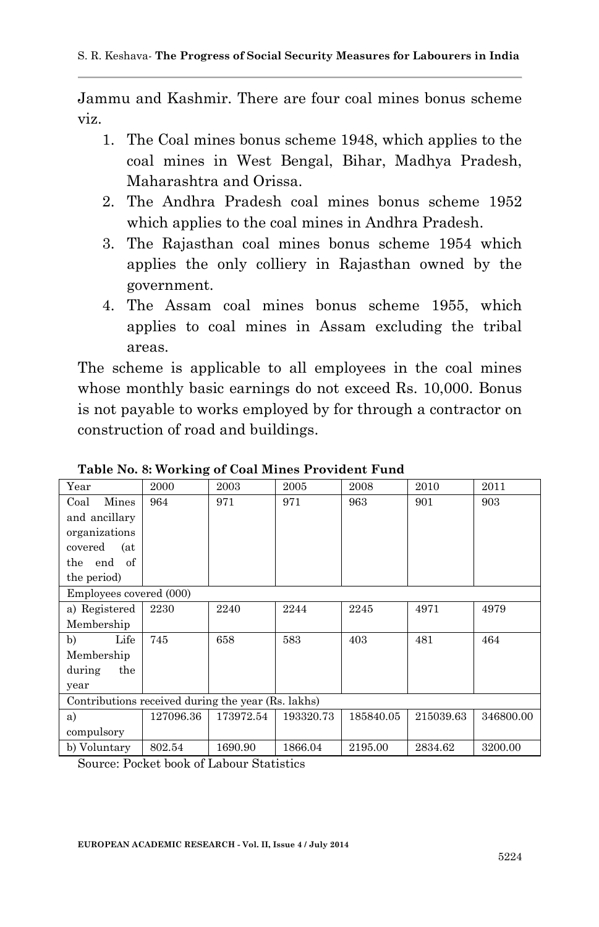Jammu and Kashmir. There are four coal mines bonus scheme viz.

- 1. The Coal mines bonus scheme 1948, which applies to the coal mines in West Bengal, Bihar, Madhya Pradesh, Maharashtra and Orissa.
- 2. The Andhra Pradesh coal mines bonus scheme 1952 which applies to the coal mines in Andhra Pradesh.
- 3. The Rajasthan coal mines bonus scheme 1954 which applies the only colliery in Rajasthan owned by the government.
- 4. The Assam coal mines bonus scheme 1955, which applies to coal mines in Assam excluding the tribal areas.

The scheme is applicable to all employees in the coal mines whose monthly basic earnings do not exceed Rs. 10,000. Bonus is not payable to works employed by for through a contractor on construction of road and buildings.

| Year                                               | 2000      | 2003      | 2005      | 2008      | 2010      | 2011      |
|----------------------------------------------------|-----------|-----------|-----------|-----------|-----------|-----------|
| Mines<br>Coal                                      | 964       | 971       | 971       | 963       | 901       | 903       |
| and ancillary                                      |           |           |           |           |           |           |
| organizations                                      |           |           |           |           |           |           |
| covered<br>(at                                     |           |           |           |           |           |           |
| of<br>end<br>the                                   |           |           |           |           |           |           |
| the period)                                        |           |           |           |           |           |           |
| Employees covered (000)                            |           |           |           |           |           |           |
| a) Registered                                      | 2230      | 2240      | 2244      | 2245      | 4971      | 4979      |
| Membership                                         |           |           |           |           |           |           |
| b)<br>Life                                         | 745       | 658       | 583       | 403       | 481       | 464       |
| Membership                                         |           |           |           |           |           |           |
| during<br>the                                      |           |           |           |           |           |           |
| year                                               |           |           |           |           |           |           |
| Contributions received during the year (Rs. lakhs) |           |           |           |           |           |           |
| a)                                                 | 127096.36 | 173972.54 | 193320.73 | 185840.05 | 215039.63 | 346800.00 |
| compulsory                                         |           |           |           |           |           |           |
| b) Voluntary                                       | 802.54    | 1690.90   | 1866.04   | 2195.00   | 2834.62   | 3200.00   |

**Table No. 8: Working of Coal Mines Provident Fund**

Source: Pocket book of Labour Statistics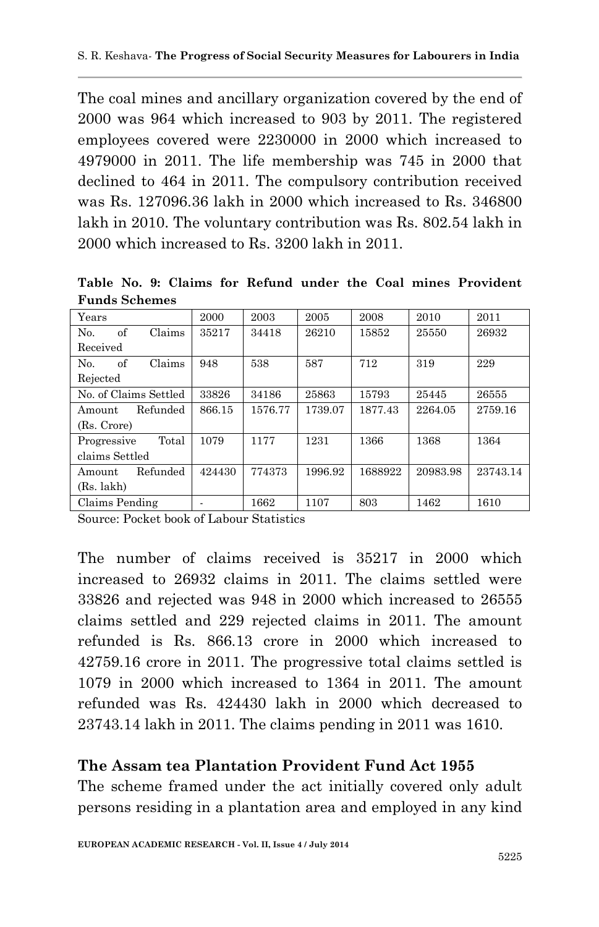The coal mines and ancillary organization covered by the end of 2000 was 964 which increased to 903 by 2011. The registered employees covered were 2230000 in 2000 which increased to 4979000 in 2011. The life membership was 745 in 2000 that declined to 464 in 2011. The compulsory contribution received was Rs. 127096.36 lakh in 2000 which increased to Rs. 346800 lakh in 2010. The voluntary contribution was Rs. 802.54 lakh in 2000 which increased to Rs. 3200 lakh in 2011.

**Table No. 9: Claims for Refund under the Coal mines Provident Funds Schemes**

| Years                          | 2000   | 2003    | 2005    | 2008    | 2010     | 2011     |
|--------------------------------|--------|---------|---------|---------|----------|----------|
| of<br>Claims<br>N <sub>0</sub> | 35217  | 34418   | 26210   | 15852   | 25550    | 26932    |
| Received                       |        |         |         |         |          |          |
| of<br>Claims<br>No.            | 948    | 538     | 587     | 712     | 319      | 229      |
| Rejected                       |        |         |         |         |          |          |
| No. of Claims Settled          | 33826  | 34186   | 25863   | 15793   | 25445    | 26555    |
| Refunded<br>Amount             | 866.15 | 1576.77 | 1739.07 | 1877.43 | 2264.05  | 2759.16  |
| (Rs. Crore)                    |        |         |         |         |          |          |
| Total<br>Progressive           | 1079   | 1177    | 1231    | 1366    | 1368     | 1364     |
| claims Settled                 |        |         |         |         |          |          |
| Refunded<br>Amount             | 424430 | 774373  | 1996.92 | 1688922 | 20983.98 | 23743.14 |
| (Rs. lakh)                     |        |         |         |         |          |          |
| Claims Pending                 |        | 1662    | 1107    | 803     | 1462     | 1610     |

Source: Pocket book of Labour Statistics

The number of claims received is 35217 in 2000 which increased to 26932 claims in 2011. The claims settled were 33826 and rejected was 948 in 2000 which increased to 26555 claims settled and 229 rejected claims in 2011. The amount refunded is Rs. 866.13 crore in 2000 which increased to 42759.16 crore in 2011. The progressive total claims settled is 1079 in 2000 which increased to 1364 in 2011. The amount refunded was Rs. 424430 lakh in 2000 which decreased to 23743.14 lakh in 2011. The claims pending in 2011 was 1610.

## **The Assam tea Plantation Provident Fund Act 1955**

The scheme framed under the act initially covered only adult persons residing in a plantation area and employed in any kind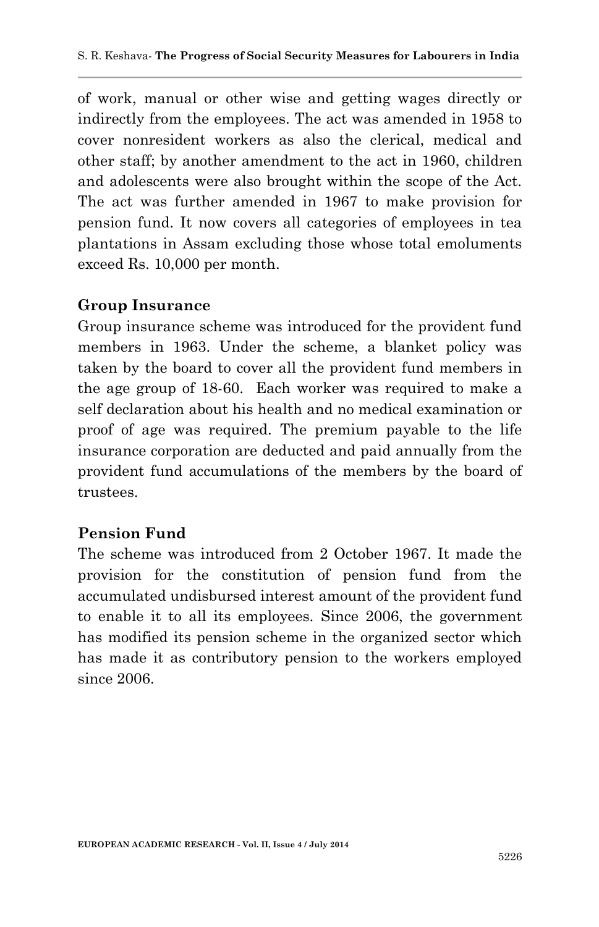of work, manual or other wise and getting wages directly or indirectly from the employees. The act was amended in 1958 to cover nonresident workers as also the clerical, medical and other staff; by another amendment to the act in 1960, children and adolescents were also brought within the scope of the Act. The act was further amended in 1967 to make provision for pension fund. It now covers all categories of employees in tea plantations in Assam excluding those whose total emoluments exceed Rs. 10,000 per month.

#### **Group Insurance**

Group insurance scheme was introduced for the provident fund members in 1963. Under the scheme, a blanket policy was taken by the board to cover all the provident fund members in the age group of 18-60. Each worker was required to make a self declaration about his health and no medical examination or proof of age was required. The premium payable to the life insurance corporation are deducted and paid annually from the provident fund accumulations of the members by the board of trustees.

#### **Pension Fund**

The scheme was introduced from 2 October 1967. It made the provision for the constitution of pension fund from the accumulated undisbursed interest amount of the provident fund to enable it to all its employees. Since 2006, the government has modified its pension scheme in the organized sector which has made it as contributory pension to the workers employed since 2006.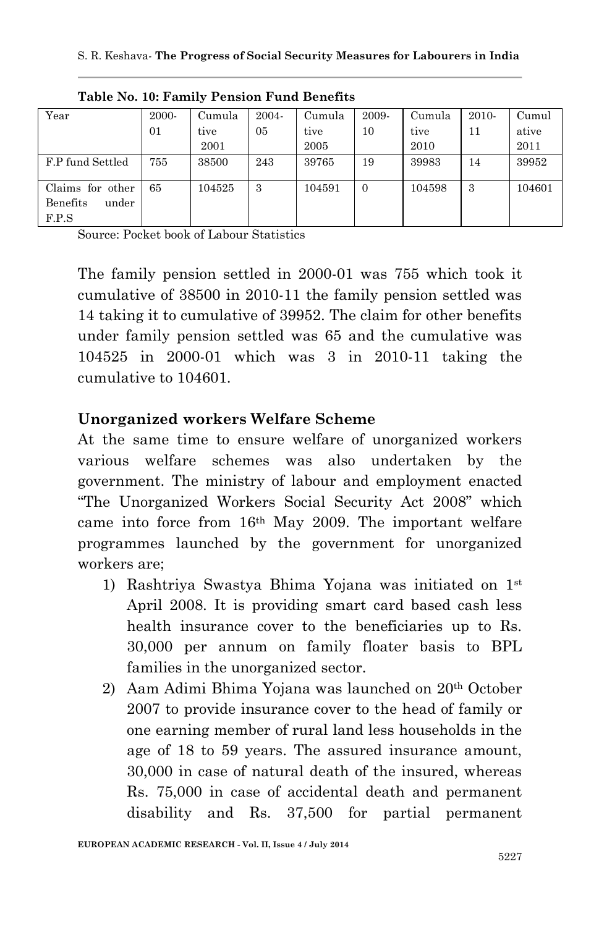| Year              | 2000- | Cumula | 2004- | Cumula | 2009-    | Cumula | $2010-$ | Cumul  |
|-------------------|-------|--------|-------|--------|----------|--------|---------|--------|
|                   | 01    | tive   | 05    | tive   | 10       | tive   | 11      | ative  |
|                   |       | 2001   |       | 2005   |          | 2010   |         | 2011   |
| F.P fund Settled  | 755   | 38500  | 243   | 39765  | 19       | 39983  | 14      | 39952  |
|                   |       |        |       |        |          |        |         |        |
| Claims for other  | 65    | 104525 | 3     | 104591 | $\Omega$ | 104598 | 3       | 104601 |
| Benefits<br>under |       |        |       |        |          |        |         |        |
| F.P.S             |       |        |       |        |          |        |         |        |

**Table No. 10: Family Pension Fund Benefits**

Source: Pocket book of Labour Statistics

The family pension settled in 2000-01 was 755 which took it cumulative of 38500 in 2010-11 the family pension settled was 14 taking it to cumulative of 39952. The claim for other benefits under family pension settled was 65 and the cumulative was 104525 in 2000-01 which was 3 in 2010-11 taking the cumulative to 104601.

### **Unorganized workers Welfare Scheme**

At the same time to ensure welfare of unorganized workers various welfare schemes was also undertaken by the government. The ministry of labour and employment enacted "The Unorganized Workers Social Security Act 2008" which came into force from 16th May 2009. The important welfare programmes launched by the government for unorganized workers are;

- 1) Rashtriya Swastya Bhima Yojana was initiated on 1st April 2008. It is providing smart card based cash less health insurance cover to the beneficiaries up to Rs. 30,000 per annum on family floater basis to BPL families in the unorganized sector.
- 2) Aam Adimi Bhima Yojana was launched on 20th October 2007 to provide insurance cover to the head of family or one earning member of rural land less households in the age of 18 to 59 years. The assured insurance amount, 30,000 in case of natural death of the insured, whereas Rs. 75,000 in case of accidental death and permanent disability and Rs. 37,500 for partial permanent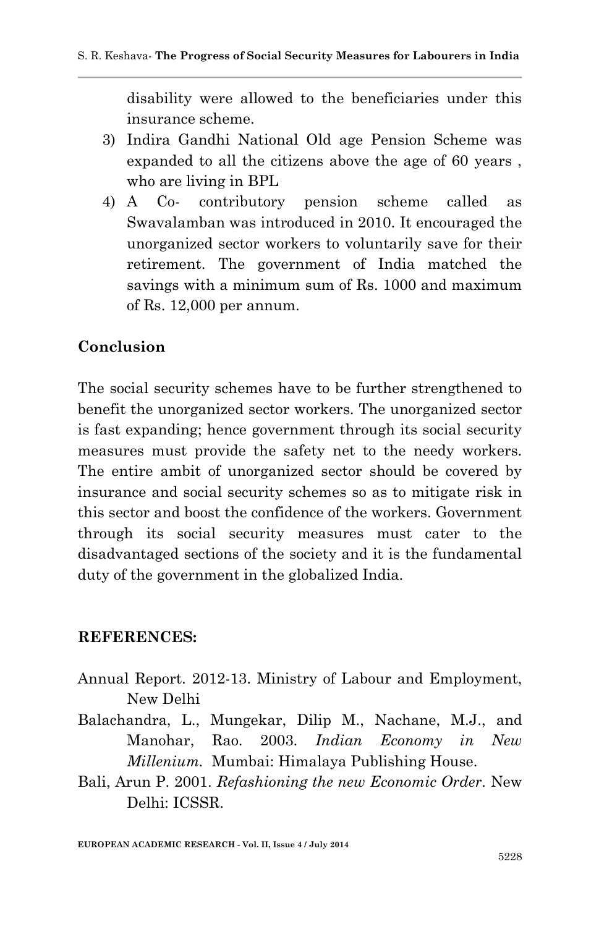disability were allowed to the beneficiaries under this insurance scheme.

- 3) Indira Gandhi National Old age Pension Scheme was expanded to all the citizens above the age of 60 years , who are living in BPL
- 4) A Co- contributory pension scheme called as Swavalamban was introduced in 2010. It encouraged the unorganized sector workers to voluntarily save for their retirement. The government of India matched the savings with a minimum sum of Rs. 1000 and maximum of Rs. 12,000 per annum.

# **Conclusion**

The social security schemes have to be further strengthened to benefit the unorganized sector workers. The unorganized sector is fast expanding; hence government through its social security measures must provide the safety net to the needy workers. The entire ambit of unorganized sector should be covered by insurance and social security schemes so as to mitigate risk in this sector and boost the confidence of the workers. Government through its social security measures must cater to the disadvantaged sections of the society and it is the fundamental duty of the government in the globalized India.

#### **REFERENCES:**

- Annual Report. 2012-13. Ministry of Labour and Employment, New Delhi
- Balachandra, L., Mungekar, Dilip M., Nachane, M.J., and Manohar, Rao. 2003. *Indian Economy in New Millenium.* Mumbai: Himalaya Publishing House.
- Bali, Arun P. 2001. *Refashioning the new Economic Order.* New Delhi: ICSSR.